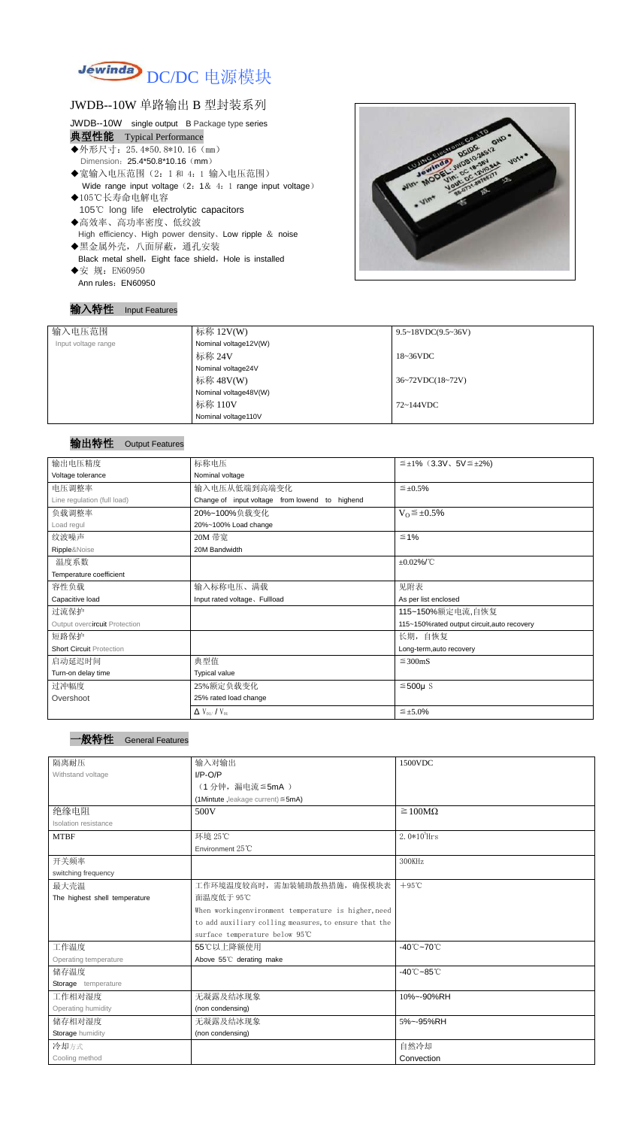

## JWDB--10W 单路输出 B 型封装系列

#### JWDB--10W single output B Package type series

#### 典型性能 Typical Performance

- ◆外形尺寸: 25.4\*50.8\*10.16 (mm) Dimension: 25.4\*50.8\*10.16 (mm)
- ◆宽输入电压范围(2:1和 4:1 输入电压范围) Wide range input voltage (2: 1& 4: 1 range input voltage)
- ◆105℃长寿命电解电容 105℃ long life electrolytic capacitors
- ◆高效率、高功率密度、低纹波 High efficiency、High power density、Low ripple & noise ◆黑金属外壳,八面屏蔽,通孔安装
- Black metal shell, Eight face shield, Hole is installed ◆安 规: EN60950
- Ann rules: EN60950

#### 输入特性 Input Features



#### 输出特性 Output Features

# 一般特性 General Features

| 输入电压范围              | 标称 12V(W)             | $9.5 \sim 18 VDC(9.5 \sim 36 V)$              |
|---------------------|-----------------------|-----------------------------------------------|
| Input voltage range | Nominal voltage12V(W) |                                               |
|                     | 标称 24V                | $18~36\textrm{VDC}$                           |
|                     | Nominal voltage24V    |                                               |
|                     | 标称 48V(W)             | $36 \sim 72 \text{VDC} (18 \sim 72 \text{V})$ |
|                     | Nominal voltage48V(W) |                                               |
|                     | 标称 110V               | 72~144VDC                                     |
|                     | Nominal voltage110V   |                                               |

| 输出电压精度                          | 标称电压                                           | $\leq \pm 1\%$ (3.3V, 5V $\leq \pm 2\%$ )   |  |  |
|---------------------------------|------------------------------------------------|---------------------------------------------|--|--|
| Voltage tolerance               | Nominal voltage                                |                                             |  |  |
| 电压调整率                           | 输入电压从低端到高端变化                                   | $\leq \pm 0.5\%$                            |  |  |
| Line regulation (full load)     | Change of input voltage from lowend to highend |                                             |  |  |
| 负载调整率                           | 20%~100%负载变化                                   | $V_0 \leq \pm 0.5\%$                        |  |  |
| Load regul                      | 20%~100% Load change                           |                                             |  |  |
| 纹波噪声                            | 20M 带宽                                         | $\leq 1\%$                                  |  |  |
| Ripple&Noise                    | 20M Bandwidth                                  |                                             |  |  |
| 温度系数                            |                                                | $\pm 0.02\%$ /°C                            |  |  |
| Temperature coefficient         |                                                |                                             |  |  |
| 容性负载                            | 输入标称电压、满载                                      | 见附表                                         |  |  |
| Capacitive load                 | Input rated voltage, Fullload                  | As per list enclosed                        |  |  |
| 过流保护                            |                                                | 115~150%额定电流,自恢复                            |  |  |
| Output overcircuit Protection   |                                                | 115~150%rated output circuit, auto recovery |  |  |
| 短路保护                            |                                                | 长期, 自恢复                                     |  |  |
| <b>Short Circuit Protection</b> |                                                | Long-term, auto recovery                    |  |  |
| 启动延迟时间                          | 典型值                                            | $\leq$ 300mS                                |  |  |
| Turn-on delay time              | <b>Typical value</b>                           |                                             |  |  |
| 过冲幅度                            | 25%额定负载变化                                      | $≤500µ$ S                                   |  |  |
| Overshoot                       | 25% rated load change                          |                                             |  |  |
|                                 | $\Delta$ V <sub>01</sub> /V <sub>01</sub>      | $\leq \pm 5.0\%$                            |  |  |

| 隔离耐压                          | 输入对输出                                                 | 1500VDC                         |  |
|-------------------------------|-------------------------------------------------------|---------------------------------|--|
| Withstand voltage             | $I/P-O/P$                                             |                                 |  |
|                               | (1分钟,漏电流≦5mA)                                         |                                 |  |
|                               | (1Mintute, leakage current) $\leq$ 5mA)               |                                 |  |
| 绝缘电阻                          | 500V                                                  | $\geq 100M\Omega$               |  |
| <b>Isolation resistance</b>   |                                                       |                                 |  |
| <b>MTBF</b>                   | 环境 25℃                                                | $2.0*105$ Hrs                   |  |
|                               | Environment 25°C                                      |                                 |  |
| 开关频率                          |                                                       | 300KHz                          |  |
| switching frequency           |                                                       |                                 |  |
| 最大壳温                          | 工作环境温度较高时, 需加装辅助散热措施, 确保模块表                           | $+95^{\circ}$ C                 |  |
| The highest shell temperature | 面温度低于 95℃                                             |                                 |  |
|                               | When workingenvironment temperature is higher, need   |                                 |  |
|                               | to add auxiliary colling measures, to ensure that the |                                 |  |
|                               | surface temperature below 95℃                         |                                 |  |
| 工作温度                          | 55℃以上降额使用                                             | $-40^{\circ}$ C $-70^{\circ}$ C |  |
| Operating temperature         | Above 55°C derating make                              |                                 |  |
| 储存温度                          |                                                       | $-40^{\circ}$ C $-85^{\circ}$ C |  |
| Storage temperature           |                                                       |                                 |  |
| 工作相对湿度                        | 无凝露及结冰现象                                              | 10%~-90%RH                      |  |
| Operating humidity            | (non condensing)                                      |                                 |  |
| 储存相对湿度                        | 5%~-95%RH<br>无凝露及结冰现象                                 |                                 |  |
| Storage humidity              | (non condensing)                                      |                                 |  |
| 冷却方式                          |                                                       | 自然冷却                            |  |
| Cooling method                |                                                       | Convection                      |  |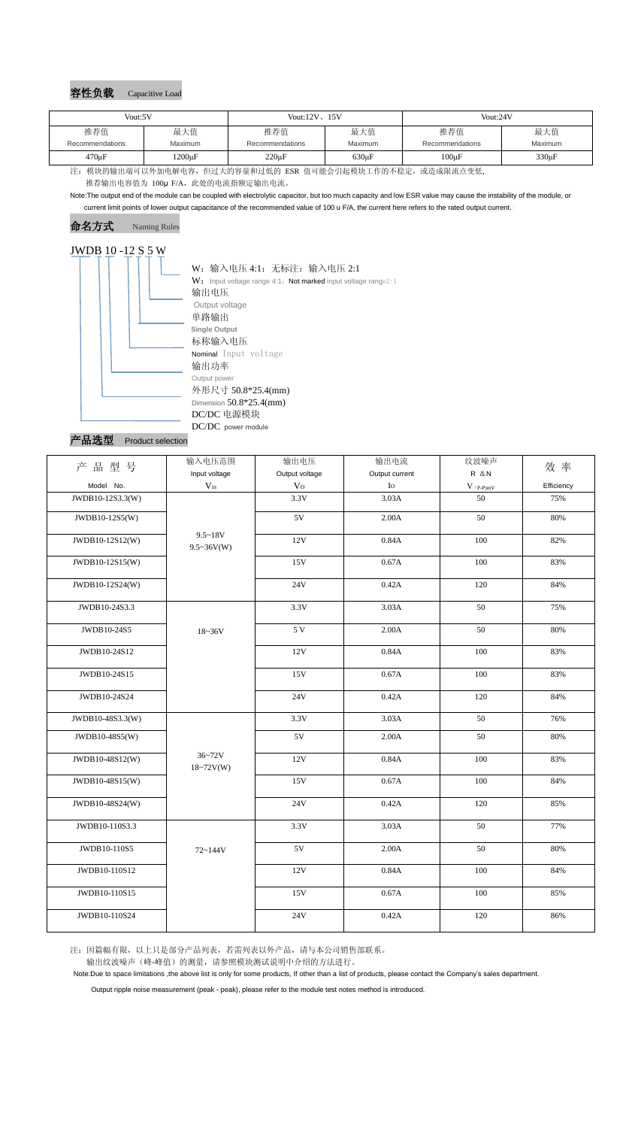## 容性负载 Capacitive Load

Note:The output end of the module can be coupled with electrolytic capacitor, but too much capacity and low ESR value may cause the instability of the module, or current limit points of lower output capacitance of the recommended value of 100 u F/A, the current here refers to the rated output current.

> W: 输入电压 4:1; 无标注: 输入电压 2:1  $W:$  Input voltage range 4:1; Not marked input voltage range2:1 **Single Output** 标称输入电压 Nominal Input voltage 输出功率 Output power 外形尺寸 50.8\*25.4(mm) Dimension 50.8\*25.4(mm) DC/DC 电源模块

DC/DC power module<br>产品选型 Product selection Product selection

命名方式 Naming Rules

# JWDB 10 -12 S 5 W 输出电压 Output voltage 单路输出

注:因篇幅有限,以上只是部分产品列表,若需列表以外产品,请与本公司销售部联系。

输出纹波噪声(峰-峰值)的测量,请参照模块测试说明中介绍的方法进行。

Note:Due to space limitations ,the above list is only for some products, If other than a list of products, please contact the Company's sales department.

Output ripple noise measurement (peak - peak), please refer to the module test notes method is introduced.

| Vout:5V         |              | Vout: $12V$ , $15V$ |             | Vout:24V        |            |
|-----------------|--------------|---------------------|-------------|-----------------|------------|
| 推荐值             | 最大值          | 推荐值                 | 最大值         | 推荐值             | 最大值        |
| Recommendations | Maximum      | Recommendations     | Maximum     | Recommendations | Maximum    |
| $470 \mu F$     | $1200 \mu F$ | $220 \mu F$         | $630 \mu F$ | $100 \mu F$     | $330\mu F$ |

注: 模块的输出端可以外加电解电容,但过大的容量和过低的 ESR 值可能会引起模块工作的不稳定,或造成限流点变低, 推荐输出电容值为 100μ F/A, 此处的电流指额定输出电流。

| 品型号<br>产         | 输入电压范围<br>Input voltage          | 输出电压<br>Output voltage | 输出电流<br>Output current | 纹波噪声<br><b>R</b> & N | 效率         |
|------------------|----------------------------------|------------------------|------------------------|----------------------|------------|
| Model No.        | $V_{in}$                         | V <sub>O</sub>         | $\rm Io$               | $V$ (p-P)mV          | Efficiency |
| JWDB10-12S3.3(W) |                                  | 3.3V                   | 3.03A                  | 50                   | 75%        |
| JWDB10-12S5(W)   |                                  | $5{\rm V}$             | 2.00A                  | 50                   | 80%        |
| JWDB10-12S12(W)  | $9.5 - 18V$<br>$9.5 \sim 36V(W)$ | 12V                    | 0.84A                  | 100                  | 82%        |
| JWDB10-12S15(W)  |                                  | 15V                    | 0.67A                  | 100                  | 83%        |
| JWDB10-12S24(W)  |                                  | 24V                    | 0.42A                  | 120                  | 84%        |
| JWDB10-24S3.3    |                                  | 3.3V                   | 3.03A                  | 50                   | 75%        |
| JWDB10-24S5      | $18 - 36V$                       | 5 V                    | 2.00A                  | 50                   | 80%        |
| JWDB10-24S12     |                                  | 12V                    | 0.84A                  | 100                  | 83%        |
| JWDB10-24S15     |                                  | 15V                    | 0.67A                  | 100                  | 83%        |
| JWDB10-24S24     |                                  | 24V                    | 0.42A                  | 120                  | 84%        |
| JWDB10-48S3.3(W) |                                  | 3.3V                   | 3.03A                  | 50                   | 76%        |
| JWDB10-48S5(W)   |                                  | 5V                     | 2.00A                  | 50                   | 80%        |
| JWDB10-48S12(W)  | $36 - 72V$<br>$18 - 72V(W)$      | 12V                    | 0.84A                  | 100                  | 83%        |
| JWDB10-48S15(W)  |                                  | 15V                    | 0.67A                  | 100                  | 84%        |
| JWDB10-48S24(W)  |                                  | 24V                    | 0.42A                  | 120                  | 85%        |
| JWDB10-110S3.3   |                                  | 3.3V                   | 3.03A                  | 50                   | 77%        |
| JWDB10-110S5     | 72~144V                          | 5V                     | 2.00A                  | 50                   | 80%        |
| JWDB10-110S12    |                                  | 12V                    | 0.84A                  | 100                  | 84%        |
| JWDB10-110S15    |                                  | 15V                    | 0.67A                  | 100                  | 85%        |
| JWDB10-110S24    |                                  | <b>24V</b>             | 0.42A                  | 120                  | 86%        |